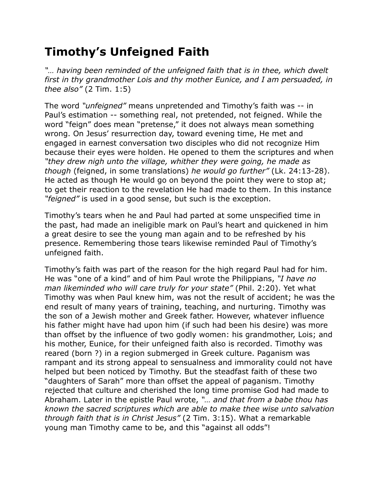## **Timothy's Unfeigned Faith**

*"… having been reminded of the unfeigned faith that is in thee, which dwelt first in thy grandmother Lois and thy mother Eunice, and I am persuaded, in thee also"* (2 Tim. 1:5)

The word *"unfeigned"* means unpretended and Timothy's faith was -- in Paul's estimation -- something real, not pretended, not feigned. While the word "feign" does mean "pretense," it does not always mean something wrong. On Jesus' resurrection day, toward evening time, He met and engaged in earnest conversation two disciples who did not recognize Him because their eyes were holden. He opened to them the scriptures and when *"they drew nigh unto the village, whither they were going, he made as though* (feigned, in some translations) *he would go further"* (Lk. 24:13-28). He acted as though He would go on beyond the point they were to stop at; to get their reaction to the revelation He had made to them. In this instance *"feigned"* is used in a good sense, but such is the exception.

Timothy's tears when he and Paul had parted at some unspecified time in the past, had made an ineligible mark on Paul's heart and quickened in him a great desire to see the young man again and to be refreshed by his presence. Remembering those tears likewise reminded Paul of Timothy's unfeigned faith.

Timothy's faith was part of the reason for the high regard Paul had for him. He was "one of a kind" and of him Paul wrote the Philippians, *"I have no man likeminded who will care truly for your state"* (Phil. 2:20). Yet what Timothy was when Paul knew him, was not the result of accident; he was the end result of many years of training, teaching, and nurturing. Timothy was the son of a Jewish mother and Greek father. However, whatever influence his father might have had upon him (if such had been his desire) was more than offset by the influence of two godly women: his grandmother, Lois; and his mother, Eunice, for their unfeigned faith also is recorded. Timothy was reared (born ?) in a region submerged in Greek culture. Paganism was rampant and its strong appeal to sensualness and immorality could not have helped but been noticed by Timothy. But the steadfast faith of these two "daughters of Sarah" more than offset the appeal of paganism. Timothy rejected that culture and cherished the long time promise God had made to Abraham. Later in the epistle Paul wrote, *"… and that from a babe thou has known the sacred scriptures which are able to make thee wise unto salvation through faith that is in Christ Jesus"* (2 Tim. 3:15). What a remarkable young man Timothy came to be, and this "against all odds"!